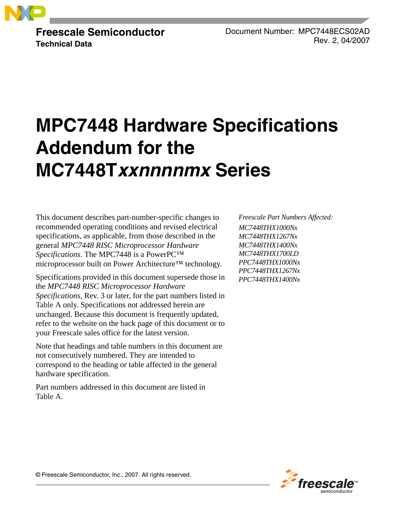

**Freescale Semiconductor Technical Data**

Document Number: MPC7448ECS02AD Rev. 2, 04/2007

# **MPC7448 Hardware Specifications Addendum for the MC7448Txxnnnnmx Series**

This document describes part-number-specific changes to recommended operating conditions and revised electrical specifications, as applicable, from those described in the general *MPC7448 RISC Microprocessor Hardware Specifications*. The MPC7448 is a PowerPC™ microprocessor built on Power Architecture™ technology.

Specifications provided in this document supersede those in the *MPC7448 RISC Microprocessor Hardware Specifications*, Rev. 3 or later, for the part numbers listed in [Table A](#page-1-0) only. Specifications not addressed herein are unchanged. Because this document is frequently updated, refer to the website on the back page of this document or to your Freescale sales office for the latest version.

Note that headings and table numbers in this document are not consecutively numbered. They are intended to correspond to the heading or table affected in the general hardware specification.

Part numbers addressed in this document are listed in [Table A](#page-1-0).

*Freescale Part Numbers Affected: MC7448THX1000Nx MC7448THX1267Nx MC7448THX1400Nx MC7448THX1700LD PPC7448THX1000Nx PPC7448THX1267Nx PPC7448THX1400Nx*



© Freescale Semiconductor, Inc., 2007. All rights reserved.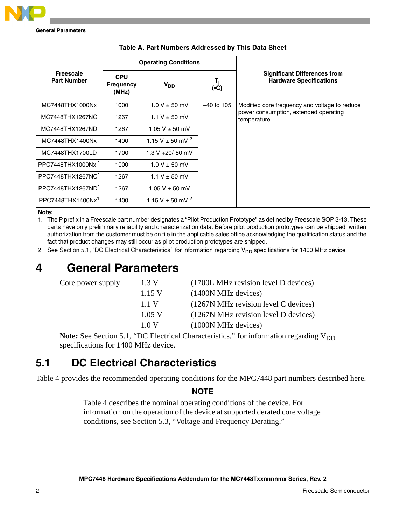**General Parameters**

<span id="page-1-0"></span>

|                                        |                                         | <b>Operating Conditions</b> |                                                                                 |                                                                       |  |  |
|----------------------------------------|-----------------------------------------|-----------------------------|---------------------------------------------------------------------------------|-----------------------------------------------------------------------|--|--|
| <b>Freescale</b><br><b>Part Number</b> | <b>CPU</b><br><b>Frequency</b><br>(MHz) | V <sub>DD</sub>             | $\begin{bmatrix} \mathsf{T}_{\mathsf{j}} \\ \mathsf{(\bullet C)} \end{bmatrix}$ | <b>Significant Differences from</b><br><b>Hardware Specifications</b> |  |  |
| MC7448THX1000Nx                        | 1000                                    | $1.0 V \pm 50$ mV           | $-40$ to 105                                                                    | Modified core frequency and voltage to reduce                         |  |  |
| MC7448THX1267NC                        | 1267                                    | 1.1 V $\pm$ 50 mV           |                                                                                 | power consumption, extended operating<br>temperature.                 |  |  |
| MC7448THX1267ND                        | 1267                                    | $1.05 V \pm 50$ mV          |                                                                                 |                                                                       |  |  |
| MC7448THX1400Nx                        | 1400                                    | 1.15 V $\pm$ 50 mV $^2$     |                                                                                 |                                                                       |  |  |
| MC7448THX1700LD                        | 1700                                    | $1.3 V + 20/-50$ mV         |                                                                                 |                                                                       |  |  |
| PPC7448THX1000Nx <sup>1</sup>          | 1000                                    | $1.0 V \pm 50$ mV           |                                                                                 |                                                                       |  |  |
| PPC7448THX1267NC <sup>1</sup>          | 1267                                    | 1.1 V $\pm$ 50 mV           |                                                                                 |                                                                       |  |  |
| PPC7448THX1267ND <sup>1</sup>          | 1267                                    | $1.05 V \pm 50$ mV          |                                                                                 |                                                                       |  |  |
| PPC7448THX1400Nx <sup>1</sup>          | 1400                                    | 1.15 V $\pm$ 50 mV $^{2}$   |                                                                                 |                                                                       |  |  |

|  | Table A. Part Numbers Addressed by This Data Sheet |  |  |
|--|----------------------------------------------------|--|--|
|  |                                                    |  |  |

### **Note:**

1. The P prefix in a Freescale part number designates a "Pilot Production Prototype" as defined by Freescale SOP 3-13. These parts have only preliminary reliability and characterization data. Before pilot production prototypes can be shipped, written authorization from the customer must be on file in the applicable sales office acknowledging the qualification status and the fact that product changes may still occur as pilot production prototypes are shipped.

2 See [Section 5.1, "DC Electrical Characteristics,](#page-1-1)" for information regarding  $V_{DD}$  specifications for 1400 MHz device.

# <span id="page-1-2"></span>**4 General Parameters**

| Core power supply | 1.3 V  | (1700L MHz revision level D devices) |
|-------------------|--------|--------------------------------------|
|                   | 1.15 V | (1400N MHz devices)                  |
|                   | 1.1 V  | (1267N MHz revision level C devices) |
|                   | 1.05 V | (1267N MHz revision level D devices) |
|                   | 1.0 V  | (1000N MHz devices)                  |
|                   |        |                                      |

**Note:** See [Section 5.1, "DC Electrical Characteristics](#page-1-1)," for information regarding  $V_{DD}$ specifications for 1400 MHz device.

# <span id="page-1-1"></span>**5.1 DC Electrical Characteristics**

[Table 4](#page-2-0) provides the recommended operating conditions for the MPC7448 part numbers described here.

### **NOTE**

[Table 4](#page-2-0) describes the nominal operating conditions of the device. For information on the operation of the device at supported derated core voltage conditions, see [Section 5.3, "Voltage and Frequency Derating](#page-4-0)."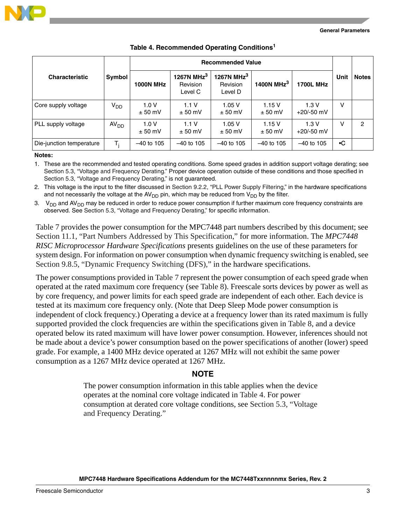



<span id="page-2-0"></span>

| <b>Characteristic</b>    | Symbol           | <b>1000N MHz</b>  | 1267N MHz $^3$<br>Revision<br>Level C | 1267N MHz $^3$<br>Revision<br>Level D | 1400N MHz $3$<br>1700L MHz |                      | Unit      | <b>Notes</b> |
|--------------------------|------------------|-------------------|---------------------------------------|---------------------------------------|----------------------------|----------------------|-----------|--------------|
| Core supply voltage      | $V_{DD}$         | 1.0V<br>$± 50$ mV | 1.1V<br>$± 50$ mV                     | 1.05V<br>$± 50$ mV                    | 1.15V<br>$± 50$ mV         | 1.3V<br>$+20/-50$ mV | v         |              |
| PLL supply voltage       | AV <sub>DD</sub> | 1.0V<br>$± 50$ mV | 1.1V<br>$\pm 50$ mV                   | 1.05V<br>$± 50$ mV                    | 1.15V<br>$± 50$ mV         | 1.3V<br>$+20/-50$ mV | ν         | 2            |
| Die-junction temperature | T,               | $-40$ to 105      | $-40$ to 105                          | $-40$ to 105                          | $-40$ to 105               | $-40$ to 105         | $\cdot c$ |              |

### **Table 4. Recommended Operating Conditions1**

#### **Notes:**

1. These are the recommended and tested operating conditions. Some speed grades in addition support voltage derating; see [Section 5.3, "Voltage and Frequency Derating](#page-4-0)." Proper device operation outside of these conditions and those specified in [Section 5.3, "Voltage and Frequency Derating](#page-4-0)," is not guaranteed.

2. This voltage is the input to the filter discussed in Section 9.2.2, "PLL Power Supply Filtering," in the hardware specifications and not necessarily the voltage at the AV<sub>DD</sub> pin, which may be reduced from V<sub>DD</sub> by the filter.

3.  $V_{DD}$  and AV<sub>DD</sub> may be reduced in order to reduce power consumption if further maximum core frequency constraints are observed. See [Section 5.3, "Voltage and Frequency Derating,](#page-4-0)" for specific information.

[Table 7](#page-3-0) provides the power consumption for the MPC7448 part numbers described by this document; see [Section 11.1, "Part Numbers Addressed by This Specification](#page-5-0)," for more information. The *MPC7448 RISC Microprocessor Hardware Specifications* presents guidelines on the use of these parameters for system design. For information on power consumption when dynamic frequency switching is enabled, see Section 9.8.5, "Dynamic Frequency Switching (DFS)," in the hardware specifications.

The power consumptions provided in [Table 7](#page-3-0) represent the power consumption of each speed grade when operated at the rated maximum core frequency (see [Table 8](#page-4-1)). Freescale sorts devices by power as well as by core frequency, and power limits for each speed grade are independent of each other. Each device is tested at its maximum core frequency only. (Note that Deep Sleep Mode power consumption is independent of clock frequency.) Operating a device at a frequency lower than its rated maximum is fully supported provided the clock frequencies are within the specifications given in [Table 8](#page-4-1), and a device operated below its rated maximum will have lower power consumption. However, inferences should not be made about a device's power consumption based on the power specifications of another (lower) speed grade. For example, a 1400 MHz device operated at 1267 MHz will not exhibit the same power consumption as a 1267 MHz device operated at 1267 MHz.

### **NOTE**

The power consumption information in this table applies when the device operates at the nominal core voltage indicated in [Table 4](#page-2-0). For power consumption at derated core voltage conditions, see [Section 5.3, "Voltage](#page-4-0)  [and Frequency Derating.](#page-4-0)"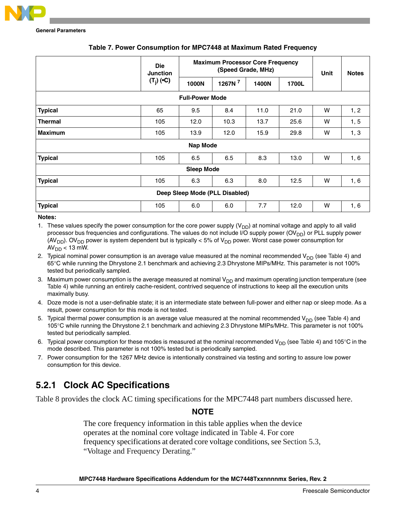

<span id="page-3-0"></span>

|                                | <b>Die</b><br><b>Junction</b> | <b>Maximum Processor Core Frequency</b> | Unit    | <b>Notes</b> |       |   |      |
|--------------------------------|-------------------------------|-----------------------------------------|---------|--------------|-------|---|------|
|                                | $(T_i)$ ( $C$ )               | 1000N                                   | 1267N 7 | 1400N        | 1700L |   |      |
|                                |                               | <b>Full-Power Mode</b>                  |         |              |       |   |      |
| <b>Typical</b>                 | 65                            | 9.5                                     | 8.4     | 11.0         | 21.0  | W | 1, 2 |
| <b>Thermal</b>                 | 105                           | 12.0                                    | 10.3    | 13.7         | 25.6  | W | 1, 5 |
| <b>Maximum</b>                 | 105                           | 13.9                                    | 12.0    | 15.9         | 29.8  | W | 1, 3 |
| Nap Mode                       |                               |                                         |         |              |       |   |      |
| <b>Typical</b>                 | 105                           | 6.5                                     | 6.5     | 8.3          | 13.0  | W | 1, 6 |
| <b>Sleep Mode</b>              |                               |                                         |         |              |       |   |      |
| <b>Typical</b>                 | 105                           | 6.3                                     | 6.3     | 8.0          | 12.5  | W | 1, 6 |
| Deep Sleep Mode (PLL Disabled) |                               |                                         |         |              |       |   |      |
| <b>Typical</b>                 | 105                           | 6.0                                     | 6.0     | 7.7          | 12.0  | W | 1, 6 |

### **Table 7. Power Consumption for MPC7448 at Maximum Rated Frequency**

### **Notes:**

1. These values specify the power consumption for the core power supply  $(V_{DD})$  at nominal voltage and apply to all valid processor bus frequencies and configurations. The values do not include I/O supply power (OV<sub>DD</sub>) or PLL supply power (AV<sub>DD</sub>). OV<sub>DD</sub> power is system dependent but is typically < 5% of V<sub>DD</sub> power. Worst case power consumption for  $AV<sub>DD</sub> < 13$  mW.

2. Typical nominal power consumption is an average value measured at the nominal recommended  $V_{DD}$  (see [Table 4](#page-2-0)) and 65°C while running the Dhrystone 2.1 benchmark and achieving 2.3 Dhrystone MIPs/MHz. This parameter is not 100% tested but periodically sampled.

- 3. Maximum power consumption is the average measured at nominal  $V_{DD}$  and maximum operating junction temperature (see [Table 4](#page-2-0)) while running an entirely cache-resident, contrived sequence of instructions to keep all the execution units maximally busy.
- 4. Doze mode is not a user-definable state; it is an intermediate state between full-power and either nap or sleep mode. As a result, power consumption for this mode is not tested.
- 5. Typical thermal power consumption is an average value measured at the nominal recommended  $V_{DD}$  (see [Table 4\)](#page-2-0) and 105°C while running the Dhrystone 2.1 benchmark and achieving 2.3 Dhrystone MIPs/MHz. This parameter is not 100% tested but periodically sampled.
- 6. Typical power consumption for these modes is measured at the nominal recommended  $V_{DD}$  (see [Table 4\)](#page-2-0) and 105°C in the mode described. This parameter is not 100% tested but is periodically sampled.
- 7. Power consumption for the 1267 MHz device is intentionally constrained via testing and sorting to assure low power consumption for this device.

### **5.2.1 Clock AC Specifications**

[Table 8](#page-4-1) provides the clock AC timing specifications for the MPC7448 part numbers discussed here.

### **NOTE**

The core frequency information in this table applies when the device operates at the nominal core voltage indicated in [Table 4](#page-2-0). For core frequency specifications at derated core voltage conditions, see [Section 5.3,](#page-4-0)  ["Voltage and Frequency Derating.](#page-4-0)"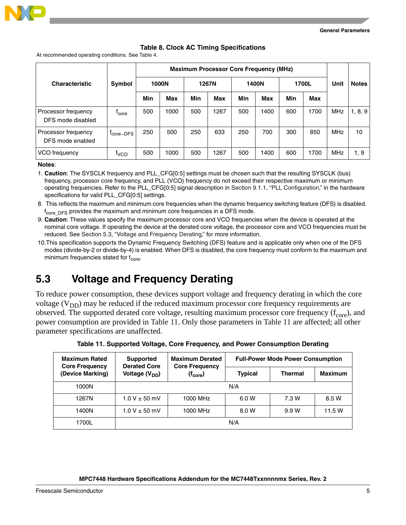



### **Table 8. Clock AC Timing Specifications**

<span id="page-4-1"></span>At recommended operating conditions. See [Table 4.](#page-2-0)

|                                          |                       |     |       |     |       |     | <b>Maximum Processor Core Frequency (MHz)</b> |       |      |            |              |
|------------------------------------------|-----------------------|-----|-------|-----|-------|-----|-----------------------------------------------|-------|------|------------|--------------|
| <b>Characteristic</b>                    | Symbol                |     | 1000N |     | 1267N |     | 1400N                                         | 1700L |      | Unit       | <b>Notes</b> |
|                                          |                       | Min | Max   | Min | Max   | Min | Max                                           | Min   | Max  |            |              |
| Processor frequency<br>DFS mode disabled | <sup>1</sup> core     | 500 | 1000  | 500 | 1267  | 500 | 1400                                          | 600   | 1700 | <b>MHz</b> | 1, 8, 9      |
| Processor frequency<br>DFS mode enabled  | <sup>I</sup> core-DFS | 250 | 500   | 250 | 633   | 250 | 700                                           | 300   | 850  | <b>MHz</b> | 10           |
| VCO frequency                            | <sup>t</sup> vco      | 500 | 1000  | 500 | 1267  | 500 | 1400                                          | 600   | 1700 | <b>MHz</b> | 1, 9         |

#### **Notes**:

1. **Caution**: The SYSCLK frequency and PLL\_CFG[0:5] settings must be chosen such that the resulting SYSCLK (bus) frequency, processor core frequency, and PLL (VCO) frequency do not exceed their respective maximum or minimum operating frequencies. Refer to the PLL\_CFG[0:5] signal description in Section 9.1.1, "PLL Configuration," in the hardware specifications for valid PLL\_CFG[0:5] settings.

8. This reflects the maximum and minimum core frequencies when the dynamic frequency switching feature (DFS) is disabled. f<sub>core</sub>\_<sub>DFS</sub> provides the maximum and minimum core frequencies in a DFS mode.

- 9. **Caution**: These values specify the maximum processor core and VCO frequencies when the device is operated at the nominal core voltage. If operating the device at the derated core voltage, the processor core and VCO frequencies must be reduced. See [Section 5.3, "Voltage and Frequency Derating](#page-4-0)," for more information.
- 10.This specification supports the Dynamic Frequency Switching (DFS) feature and is applicable only when one of the DFS modes (divide-by-2 or divide-by-4) is enabled. When DFS is disabled, the core frequency must conform to the maximum and minimum frequencies stated for  $f_{core}$ .

## <span id="page-4-0"></span>**5.3 Voltage and Frequency Derating**

To reduce power consumption, these devices support voltage and frequency derating in which the core voltage  $(V_{DD})$  may be reduced if the reduced maximum processor core frequency requirements are observed. The supported derated core voltage, resulting maximum processor core frequency  $(f<sub>core</sub>)$ , and power consumption are provided in [Table 11.](#page-4-2) Only those parameters in [Table 11](#page-4-2) are affected; all other parameter specifications are unaffected.

<span id="page-4-2"></span>

| <b>Maximum Rated</b><br><b>Core Frequency</b> | <b>Supported</b><br><b>Derated Core</b> | <b>Maximum Derated</b><br><b>Core Frequency</b> | <b>Full-Power Mode Power Consumption</b> |                |                |  |  |
|-----------------------------------------------|-----------------------------------------|-------------------------------------------------|------------------------------------------|----------------|----------------|--|--|
| (Device Marking)                              | Voltage (V <sub>DD</sub> )              | (f <sub>core</sub> )                            | <b>Typical</b>                           | <b>Thermal</b> | <b>Maximum</b> |  |  |
| 1000N                                         |                                         |                                                 | N/A                                      |                |                |  |  |
| 1267N                                         | $1.0 V \pm 50$ mV                       | 1000 MHz                                        | 6.0 W                                    | 7.3 W          | 8.5 W          |  |  |
| 1400N                                         | $1.0 V \pm 50$ mV                       | 1000 MHz                                        | 8.0 W                                    | 9.9 W          | 11.5 W         |  |  |
| 1700L                                         |                                         |                                                 | N/A                                      |                |                |  |  |

**Table 11. Supported Voltage, Core Frequency, and Power Consumption Derating**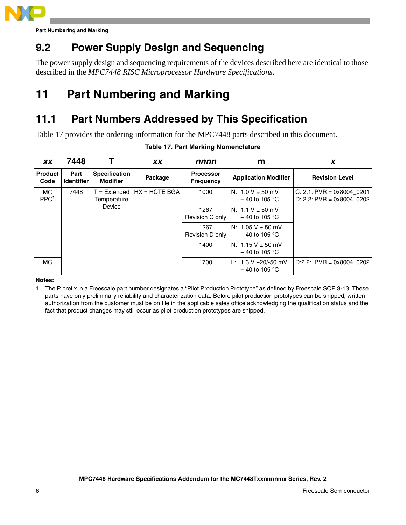

**Part Numbering and Marking**

# **9.2 Power Supply Design and Sequencing**

The power supply design and sequencing requirements of the devices described here are identical to those described in the *MPC7448 RISC Microprocessor Hardware Specifications*.

# **11 Part Numbering and Marking**

# <span id="page-5-0"></span>**11.1 Part Numbers Addressed by This Specification**

<span id="page-5-1"></span>[Table 17](#page-5-1) provides the ordering information for the MPC7448 parts described in this document.

| <b>XX</b>                     | 7448                      |                                         | <b>XX</b>                      | nnnn                                 | m                                         |                                                          |
|-------------------------------|---------------------------|-----------------------------------------|--------------------------------|--------------------------------------|-------------------------------------------|----------------------------------------------------------|
| <b>Product</b><br>Code        | Part<br><b>Identifier</b> | <b>Specification</b><br><b>Modifier</b> | Package                        | <b>Processor</b><br><b>Frequency</b> | <b>Application Modifier</b>               | <b>Revision Level</b>                                    |
| <b>MC</b><br>PPC <sup>1</sup> | 7448                      | Temperature                             | $T =$ Extended $HX = HCTE BGA$ | 1000                                 | N: $1.0 V \pm 50$ mV<br>$-40$ to 105 °C   | $C: 2.1: PVR = 0x8004_0201$<br>D: 2.2: PVR = 0x8004 0202 |
|                               |                           | Device                                  |                                | 1267<br>Revision C only              | N: $1.1 V \pm 50$ mV<br>$-40$ to 105 °C   |                                                          |
|                               |                           |                                         |                                | 1267<br>Revision D only              | N: $1.05 V \pm 50$ mV<br>$-40$ to 105 °C  |                                                          |
|                               |                           |                                         |                                | 1400                                 | N: $1.15 V \pm 50$ mV<br>$-40$ to 105 °C  |                                                          |
| <b>MC</b>                     |                           |                                         |                                | 1700                                 | L: $1.3 V + 20/-50$ mV<br>$-40$ to 105 °C | $D:2.2$ : PVR = 0x8004 0202                              |

### **Table 17. Part Marking Nomenclature**

### **Notes:**

1. The P prefix in a Freescale part number designates a "Pilot Production Prototype" as defined by Freescale SOP 3-13. These parts have only preliminary reliability and characterization data. Before pilot production prototypes can be shipped, written authorization from the customer must be on file in the applicable sales office acknowledging the qualification status and the fact that product changes may still occur as pilot production prototypes are shipped.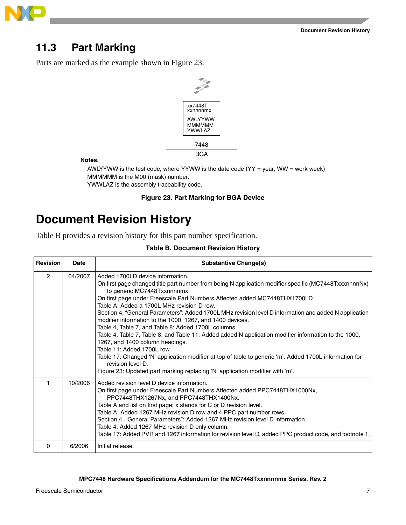



# **11.3 Part Marking**

Parts are marked as the example shown in [Figure 23.](#page-6-0)



**Notes:**

YWWLAZ is the assembly traceability code. AWLYYWW is the test code, where YYWW is the date code  $(YY = year, WW = work week)$ MMMMMM is the M00 (mask) number.

### **Figure 23. Part Marking for BGA Device**

# <span id="page-6-0"></span>**Document Revision History**

[Table B](#page-6-1) provides a revision history for this part number specification.

### **Table B. Document Revision History**

<span id="page-6-1"></span>

| <b>Revision</b> | Date    | <b>Substantive Change(s)</b>                                                                                                                                                                                                                                                                                                                                                                                                                                                                                                                                                                                                                                                                                                                                                                                                                                                                                              |
|-----------------|---------|---------------------------------------------------------------------------------------------------------------------------------------------------------------------------------------------------------------------------------------------------------------------------------------------------------------------------------------------------------------------------------------------------------------------------------------------------------------------------------------------------------------------------------------------------------------------------------------------------------------------------------------------------------------------------------------------------------------------------------------------------------------------------------------------------------------------------------------------------------------------------------------------------------------------------|
| $\mathcal{P}$   | 04/2007 | Added 1700LD device information.<br>On first page changed title part number from being N application modifier specific (MC7448TxxxnnnnNx)<br>to generic MC7448Txxnnnnmx.<br>On first page under Freescale Part Numbers Affected added MC7448THX1700LD.<br>Table A: Added a 1700L MHz revision D row.<br>Section 4, "General Parameters": Added 1700L MHz revision level D information and added N application<br>modifier information to the 1000, 1267, and 1400 devices.<br>Table 4, Table 7, and Table 8: Added 1700L columns.<br>Table 4, Table 7, Table 8, and Table 11: Added added N application modifier information to the 1000,<br>1267, and 1400 column headings.<br>Table 11: Added 1700L row.<br>Table 17: Changed 'N' application modifier at top of table to generic 'm'. Added 1700L information for<br>revision level D.<br>Figure 23: Updated part marking replacing 'N' application modifier with 'm'. |
| 1               | 10/2006 | Added revision level D device information.<br>On first page under Freescale Part Numbers Affected added PPC7448THX1000Nx,<br>PPC7448THX1267Nx, and PPC7448THX1400Nx.<br>Table A and list on first page: x stands for C or D revision level.<br>Table A: Added 1267 MHz revision D row and 4 PPC part number rows.<br>Section 4, "General Parameters": Added 1267 MHz revision level D information.<br>Table 4: Added 1267 MHz revision D only column.<br>Table 17: Added PVR and 1267 information for revision level D, added PPC product code, and footnote 1.                                                                                                                                                                                                                                                                                                                                                           |
| $\Omega$        | 6/2006  | Initial release.                                                                                                                                                                                                                                                                                                                                                                                                                                                                                                                                                                                                                                                                                                                                                                                                                                                                                                          |

### **MPC7448 Hardware Specifications Addendum for the MC7448Txxnnnnmx Series, Rev. 2**